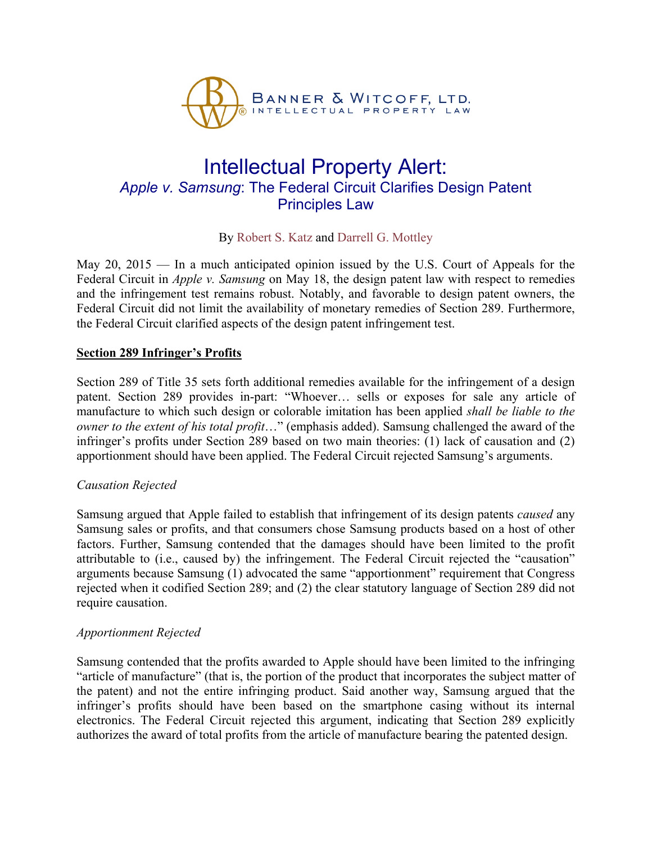

# Intellectual Property Alert: *Apple v. Samsung*: The Federal Circuit Clarifies Design Patent Principles Law

## By [Robert S. Katz](http://bannerwitcoff.com/rkatz/) and [Darrell G. Mottley](http://bannerwitcoff.com/dmottley/)

May 20, 2015 — In a much anticipated opinion issued by the U.S. Court of Appeals for the Federal Circuit in *Apple v. Samsung* on May 18, the design patent law with respect to remedies and the infringement test remains robust. Notably, and favorable to design patent owners, the Federal Circuit did not limit the availability of monetary remedies of Section 289. Furthermore, the Federal Circuit clarified aspects of the design patent infringement test.

#### **Section 289 Infringer's Profits**

Section 289 of Title 35 sets forth additional remedies available for the infringement of a design patent. Section 289 provides in-part: "Whoever… sells or exposes for sale any article of manufacture to which such design or colorable imitation has been applied *shall be liable to the owner to the extent of his total profit*…" (emphasis added). Samsung challenged the award of the infringer's profits under Section 289 based on two main theories: (1) lack of causation and (2) apportionment should have been applied. The Federal Circuit rejected Samsung's arguments.

#### *Causation Rejected*

Samsung argued that Apple failed to establish that infringement of its design patents *caused* any Samsung sales or profits, and that consumers chose Samsung products based on a host of other factors. Further, Samsung contended that the damages should have been limited to the profit attributable to (i.e., caused by) the infringement. The Federal Circuit rejected the "causation" arguments because Samsung (1) advocated the same "apportionment" requirement that Congress rejected when it codified Section 289; and (2) the clear statutory language of Section 289 did not require causation.

#### *Apportionment Rejected*

Samsung contended that the profits awarded to Apple should have been limited to the infringing "article of manufacture" (that is, the portion of the product that incorporates the subject matter of the patent) and not the entire infringing product. Said another way, Samsung argued that the infringer's profits should have been based on the smartphone casing without its internal electronics. The Federal Circuit rejected this argument, indicating that Section 289 explicitly authorizes the award of total profits from the article of manufacture bearing the patented design.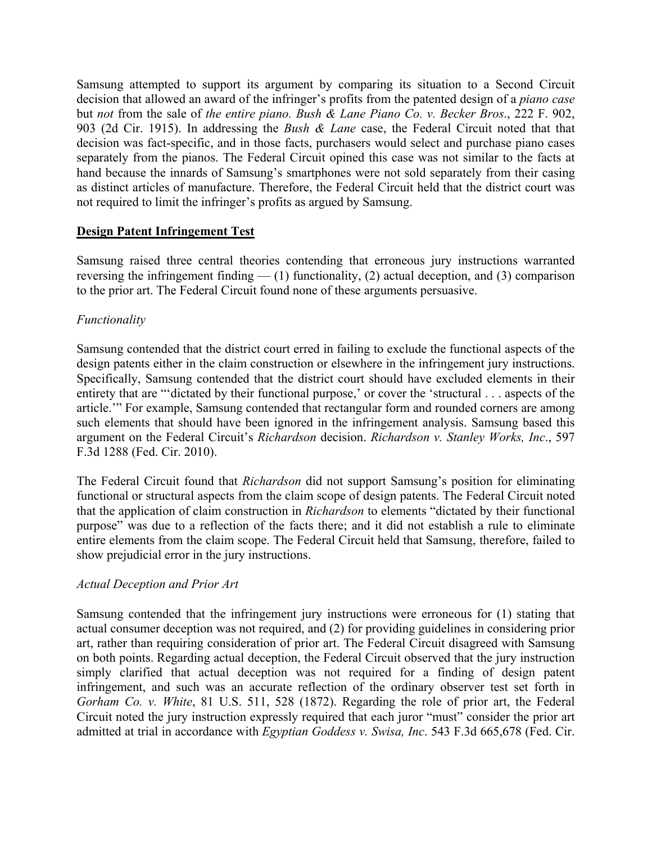Samsung attempted to support its argument by comparing its situation to a Second Circuit decision that allowed an award of the infringer's profits from the patented design of a *piano case*  but *not* from the sale of *the entire piano. Bush & Lane Piano Co. v. Becker Bros*., 222 F. 902, 903 (2d Cir. 1915). In addressing the *Bush & Lane* case, the Federal Circuit noted that that decision was fact-specific, and in those facts, purchasers would select and purchase piano cases separately from the pianos. The Federal Circuit opined this case was not similar to the facts at hand because the innards of Samsung's smartphones were not sold separately from their casing as distinct articles of manufacture. Therefore, the Federal Circuit held that the district court was not required to limit the infringer's profits as argued by Samsung.

## **Design Patent Infringement Test**

Samsung raised three central theories contending that erroneous jury instructions warranted reversing the infringement finding  $-$  (1) functionality, (2) actual deception, and (3) comparison to the prior art. The Federal Circuit found none of these arguments persuasive.

## *Functionality*

Samsung contended that the district court erred in failing to exclude the functional aspects of the design patents either in the claim construction or elsewhere in the infringement jury instructions. Specifically, Samsung contended that the district court should have excluded elements in their entirety that are "'dictated by their functional purpose,' or cover the 'structural . . . aspects of the article.'" For example, Samsung contended that rectangular form and rounded corners are among such elements that should have been ignored in the infringement analysis. Samsung based this argument on the Federal Circuit's *Richardson* decision. *Richardson v. Stanley Works, Inc*., 597 F.3d 1288 (Fed. Cir. 2010).

The Federal Circuit found that *Richardson* did not support Samsung's position for eliminating functional or structural aspects from the claim scope of design patents. The Federal Circuit noted that the application of claim construction in *Richardson* to elements "dictated by their functional purpose" was due to a reflection of the facts there; and it did not establish a rule to eliminate entire elements from the claim scope. The Federal Circuit held that Samsung, therefore, failed to show prejudicial error in the jury instructions.

## *Actual Deception and Prior Art*

Samsung contended that the infringement jury instructions were erroneous for (1) stating that actual consumer deception was not required, and (2) for providing guidelines in considering prior art, rather than requiring consideration of prior art. The Federal Circuit disagreed with Samsung on both points. Regarding actual deception, the Federal Circuit observed that the jury instruction simply clarified that actual deception was not required for a finding of design patent infringement, and such was an accurate reflection of the ordinary observer test set forth in *Gorham Co. v. White*, 81 U.S. 511, 528 (1872). Regarding the role of prior art, the Federal Circuit noted the jury instruction expressly required that each juror "must" consider the prior art admitted at trial in accordance with *Egyptian Goddess v. Swisa, Inc*. 543 F.3d 665,678 (Fed. Cir.